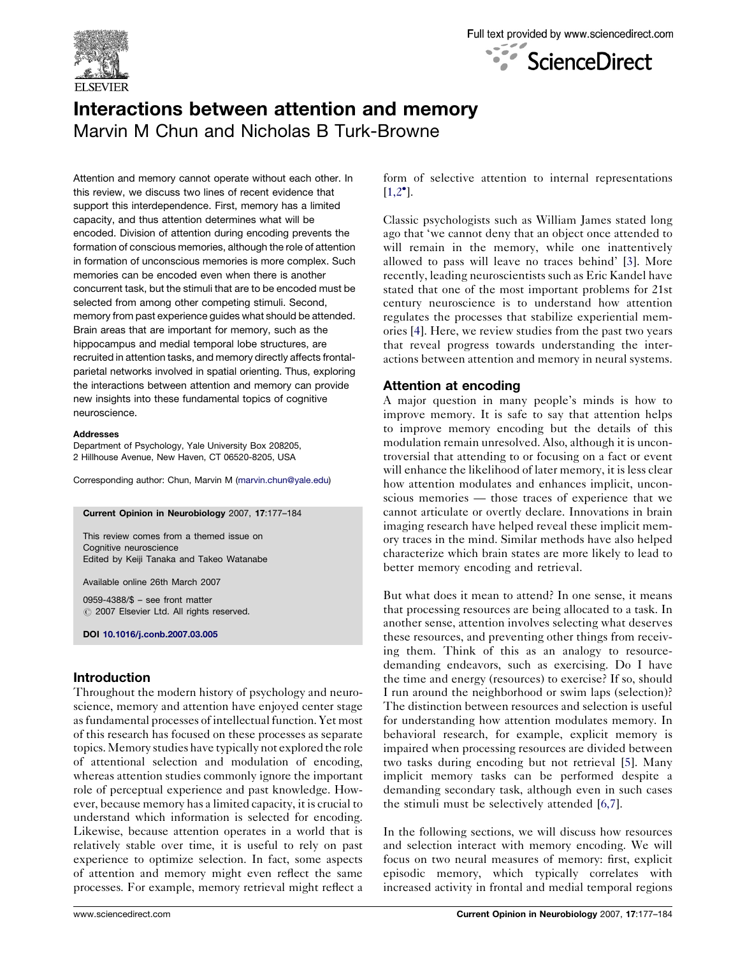



# Interactions between attention and memory Marvin M Chun and Nicholas B Turk-Browne

Attention and memory cannot operate without each other. In this review, we discuss two lines of recent evidence that support this interdependence. First, memory has a limited capacity, and thus attention determines what will be encoded. Division of attention during encoding prevents the formation of conscious memories, although the role of attention in formation of unconscious memories is more complex. Such memories can be encoded even when there is another concurrent task, but the stimuli that are to be encoded must be selected from among other competing stimuli. Second, memory from past experience guides what should be attended. Brain areas that are important for memory, such as the hippocampus and medial temporal lobe structures, are recruited in attention tasks, and memory directly affects frontalparietal networks involved in spatial orienting. Thus, exploring the interactions between attention and memory can provide new insights into these fundamental topics of cognitive neuroscience.

#### Addresses

Department of Psychology, Yale University Box 208205, 2 Hillhouse Avenue, New Haven, CT 06520-8205, USA

Corresponding author: Chun, Marvin M ([marvin.chun@yale.edu\)](mailto:marvin.chun@yale.edu)

### Current Opinion in Neurobiology 2007, 17:177–184

This review comes from a themed issue on Cognitive neuroscience Edited by Keiji Tanaka and Takeo Watanabe

Available online 26th March 2007

0959-4388/\$ – see front matter  $\oslash$  2007 Elsevier Ltd. All rights reserved.

DOI [10.1016/j.conb.2007.03.005](http://dx.doi.org/10.1016/j.conb.2007.03.005)

## Introduction

Throughout the modern history of psychology and neuroscience, memory and attention have enjoyed center stage as fundamental processes of intellectual function. Yet most of this research has focused on these processes as separate topics.Memory studies have typically not explored the role of attentional selection and modulation of encoding, whereas attention studies commonly ignore the important role of perceptual experience and past knowledge. However, because memory has a limited capacity, it is crucial to understand which information is selected for encoding. Likewise, because attention operates in a world that is relatively stable over time, it is useful to rely on past experience to optimize selection. In fact, some aspects of attention and memory might even reflect the same processes. For example, memory retrieval might reflect a

form of selective attention to internal representations  $[1,2^{\bullet}].$  $[1,2^{\bullet}].$ 

Classic psychologists such as William James stated long ago that 'we cannot deny that an object once attended to will remain in the memory, while one inattentively allowed to pass will leave no traces behind' [\[3](#page-5-0)]. More recently, leading neuroscientists such as Eric Kandel have stated that one of the most important problems for 21st century neuroscience is to understand how attention regulates the processes that stabilize experiential memories [[4\]](#page-5-0). Here, we review studies from the past two years that reveal progress towards understanding the interactions between attention and memory in neural systems.

## Attention at encoding

A major question in many people's minds is how to improve memory. It is safe to say that attention helps to improve memory encoding but the details of this modulation remain unresolved. Also, although it is uncontroversial that attending to or focusing on a fact or event will enhance the likelihood of later memory, it is less clear how attention modulates and enhances implicit, unconscious memories — those traces of experience that we cannot articulate or overtly declare. Innovations in brain imaging research have helped reveal these implicit memory traces in the mind. Similar methods have also helped characterize which brain states are more likely to lead to better memory encoding and retrieval.

But what does it mean to attend? In one sense, it means that processing resources are being allocated to a task. In another sense, attention involves selecting what deserves these resources, and preventing other things from receiving them. Think of this as an analogy to resourcedemanding endeavors, such as exercising. Do I have the time and energy (resources) to exercise? If so, should I run around the neighborhood or swim laps (selection)? The distinction between resources and selection is useful for understanding how attention modulates memory. In behavioral research, for example, explicit memory is impaired when processing resources are divided between two tasks during encoding but not retrieval [[5\]](#page-5-0). Many implicit memory tasks can be performed despite a demanding secondary task, although even in such cases the stimuli must be selectively attended [[6,7](#page-5-0)].

In the following sections, we will discuss how resources and selection interact with memory encoding. We will focus on two neural measures of memory: first, explicit episodic memory, which typically correlates with increased activity in frontal and medial temporal regions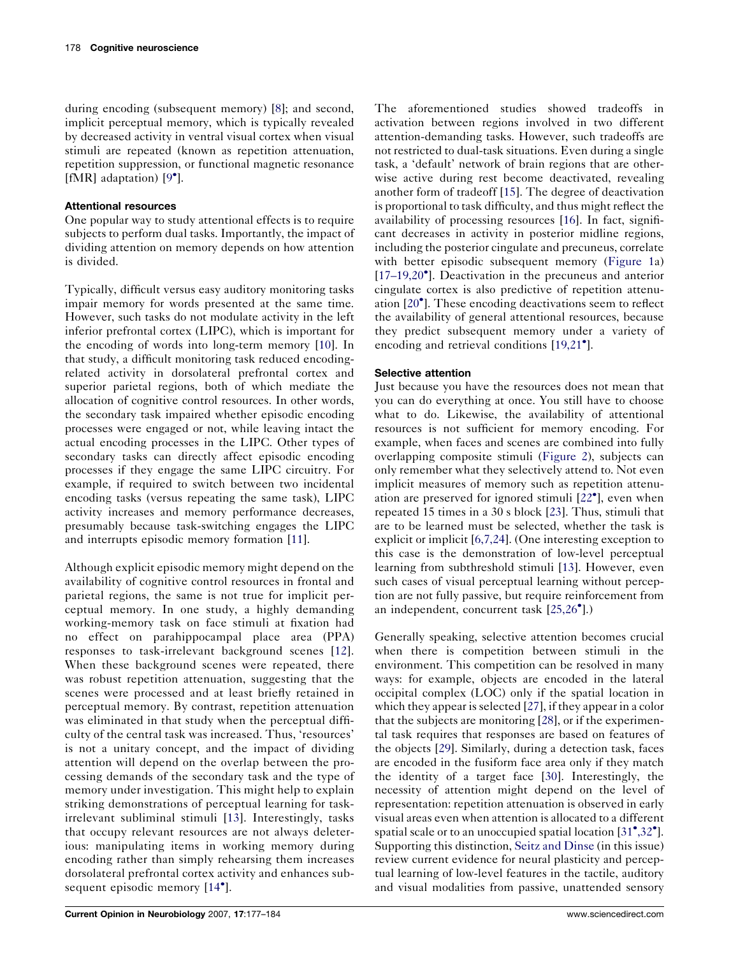during encoding (subsequent memory) [[8\]](#page-5-0); and second, implicit perceptual memory, which is typically revealed by decreased activity in ventral visual cortex when visual stimuli are repeated (known as repetition attenuation, repetition suppression, or functional magnetic resonance [fMR] adaptation) [\[9](#page-5-0)°].

## Attentional resources

One popular way to study attentional effects is to require subjects to perform dual tasks. Importantly, the impact of dividing attention on memory depends on how attention is divided.

Typically, difficult versus easy auditory monitoring tasks impair memory for words presented at the same time. However, such tasks do not modulate activity in the left inferior prefrontal cortex (LIPC), which is important for the encoding of words into long-term memory [[10\]](#page-5-0). In that study, a difficult monitoring task reduced encodingrelated activity in dorsolateral prefrontal cortex and superior parietal regions, both of which mediate the allocation of cognitive control resources. In other words, the secondary task impaired whether episodic encoding processes were engaged or not, while leaving intact the actual encoding processes in the LIPC. Other types of secondary tasks can directly affect episodic encoding processes if they engage the same LIPC circuitry. For example, if required to switch between two incidental encoding tasks (versus repeating the same task), LIPC activity increases and memory performance decreases, presumably because task-switching engages the LIPC and interrupts episodic memory formation [[11\]](#page-5-0).

Although explicit episodic memory might depend on the availability of cognitive control resources in frontal and parietal regions, the same is not true for implicit perceptual memory. In one study, a highly demanding working-memory task on face stimuli at fixation had no effect on parahippocampal place area (PPA) responses to task-irrelevant background scenes [[12](#page-5-0)]. When these background scenes were repeated, there was robust repetition attenuation, suggesting that the scenes were processed and at least briefly retained in perceptual memory. By contrast, repetition attenuation was eliminated in that study when the perceptual difficulty of the central task was increased. Thus, 'resources' is not a unitary concept, and the impact of dividing attention will depend on the overlap between the processing demands of the secondary task and the type of memory under investigation. This might help to explain striking demonstrations of perceptual learning for taskirrelevant subliminal stimuli [[13\]](#page-5-0). Interestingly, tasks that occupy relevant resources are not always deleterious: manipulating items in working memory during encoding rather than simply rehearsing them increases dorsolateral prefrontal cortex activity and enhances sub-sequent episodic memory [[14](#page-5-0)<sup>°</sup>].

The aforementioned studies showed tradeoffs in activation between regions involved in two different attention-demanding tasks. However, such tradeoffs are not restricted to dual-task situations. Even during a single task, a 'default' network of brain regions that are otherwise active during rest become deactivated, revealing another form of tradeoff [\[15](#page-5-0)]. The degree of deactivation is proportional to task difficulty, and thus might reflect the availability of processing resources [[16\]](#page-6-0). In fact, significant decreases in activity in posterior midline regions, including the posterior cingulate and precuneus, correlate with better episodic subsequent memory ([Figure 1a](#page-2-0)) [\[17–19,20](#page-6-0)<sup>°</sup>]. Deactivation in the precuneus and anterior cingulate cortex is also predictive of repetition attenu-ation [\[20](#page-6-0)<sup>°</sup>]. These encoding deactivations seem to reflect the availability of general attentional resources, because they predict subsequent memory under a variety of encoding and retrieval conditions [[19,21](#page-6-0)<sup>°</sup>].

## Selective attention

Just because you have the resources does not mean that you can do everything at once. You still have to choose what to do. Likewise, the availability of attentional resources is not sufficient for memory encoding. For example, when faces and scenes are combined into fully overlapping composite stimuli [\(Figure 2\)](#page-3-0), subjects can only remember what they selectively attend to. Not even implicit measures of memory such as repetition attenu-ation are preserved for ignored stimuli [[22](#page-6-0)°], even when repeated 15 times in a 30 s block [\[23](#page-6-0)]. Thus, stimuli that are to be learned must be selected, whether the task is explicit or implicit [\[6,7,24](#page-5-0)]. (One interesting exception to this case is the demonstration of low-level perceptual learning from subthreshold stimuli [[13\]](#page-5-0). However, even such cases of visual perceptual learning without perception are not fully passive, but require reinforcement from an independent, concurrent task [[25,26](#page-6-0)<sup>°</sup>].)

Generally speaking, selective attention becomes crucial when there is competition between stimuli in the environment. This competition can be resolved in many ways: for example, objects are encoded in the lateral occipital complex (LOC) only if the spatial location in which they appear is selected [[27\]](#page-6-0), if they appear in a color that the subjects are monitoring [[28\]](#page-6-0), or if the experimental task requires that responses are based on features of the objects [\[29](#page-6-0)]. Similarly, during a detection task, faces are encoded in the fusiform face area only if they match the identity of a target face [[30\]](#page-6-0). Interestingly, the necessity of attention might depend on the level of representation: repetition attenuation is observed in early visual areas even when attention is allocated to a different spatial scale or to an unoccupied spatial location [[31](#page-6-0)°[,32](#page-6-0)°]. Supporting this distinction, [Seitz and Dinse](doi:10.1016/j.conb.2007.02.004) (in this issue) review current evidence for neural plasticity and perceptual learning of low-level features in the tactile, auditory and visual modalities from passive, unattended sensory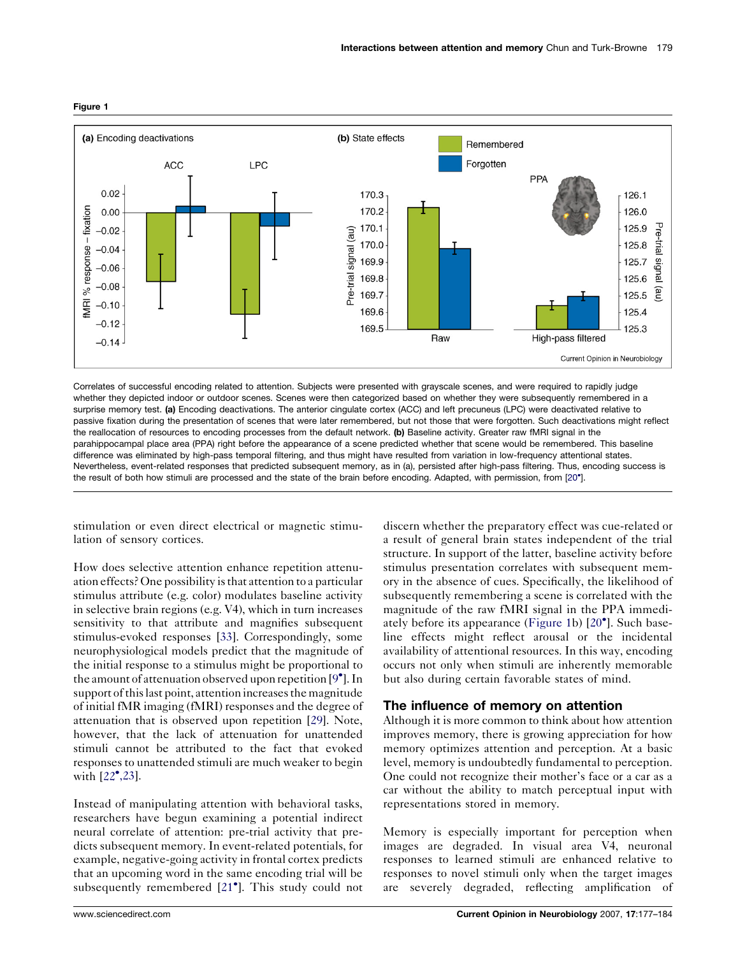

#### <span id="page-2-0"></span>Figure 1

Correlates of successful encoding related to attention. Subjects were presented with grayscale scenes, and were required to rapidly judge whether they depicted indoor or outdoor scenes. Scenes were then categorized based on whether they were subsequently remembered in a surprise memory test. (a) Encoding deactivations. The anterior cingulate cortex (ACC) and left precuneus (LPC) were deactivated relative to passive fixation during the presentation of scenes that were later remembered, but not those that were forgotten. Such deactivations might reflect the reallocation of resources to encoding processes from the default network. (b) Baseline activity. Greater raw fMRI signal in the parahippocampal place area (PPA) right before the appearance of a scene predicted whether that scene would be remembered. This baseline difference was eliminated by high-pass temporal filtering, and thus might have resulted from variation in low-frequency attentional states. Nevertheless, event-related responses that predicted subsequent memory, as in (a), persisted after high-pass filtering. Thus, encoding success is the result of both how stimuli are processed and the state of the brain before encoding. Adapted, with permission, from [\[20](#page-6-0)\*].

stimulation or even direct electrical or magnetic stimulation of sensory cortices.

How does selective attention enhance repetition attenuation effects? One possibility is that attention to a particular stimulus attribute (e.g. color) modulates baseline activity in selective brain regions (e.g. V4), which in turn increases sensitivity to that attribute and magnifies subsequent stimulus-evoked responses [[33\]](#page-6-0). Correspondingly, some neurophysiological models predict that the magnitude of the initial response to a stimulus might be proportional to the amount of attenuation observed upon repetition [\[9](#page-5-0)<sup>°</sup>]. In support of this last point, attention increases the magnitude of initial fMR imaging (fMRI) responses and the degree of attenuation that is observed upon repetition [[29\]](#page-6-0). Note, however, that the lack of attenuation for unattended stimuli cannot be attributed to the fact that evoked responses to unattended stimuli are much weaker to begin with [[22](#page-6-0)°[,23\]](#page-6-0).

Instead of manipulating attention with behavioral tasks, researchers have begun examining a potential indirect neural correlate of attention: pre-trial activity that predicts subsequent memory. In event-related potentials, for example, negative-going activity in frontal cortex predicts that an upcoming word in the same encoding trial will be subsequently remembered [[21](#page-6-0)<sup>°</sup>]. This study could not

discern whether the preparatory effect was cue-related or a result of general brain states independent of the trial structure. In support of the latter, baseline activity before stimulus presentation correlates with subsequent memory in the absence of cues. Specifically, the likelihood of subsequently remembering a scene is correlated with the magnitude of the raw fMRI signal in the PPA immedi-ately before its appearance (Figure 1b) [[20](#page-6-0)°]. Such baseline effects might reflect arousal or the incidental availability of attentional resources. In this way, encoding occurs not only when stimuli are inherently memorable but also during certain favorable states of mind.

## The influence of memory on attention

Although it is more common to think about how attention improves memory, there is growing appreciation for how memory optimizes attention and perception. At a basic level, memory is undoubtedly fundamental to perception. One could not recognize their mother's face or a car as a car without the ability to match perceptual input with representations stored in memory.

Memory is especially important for perception when images are degraded. In visual area V4, neuronal responses to learned stimuli are enhanced relative to responses to novel stimuli only when the target images are severely degraded, reflecting amplification of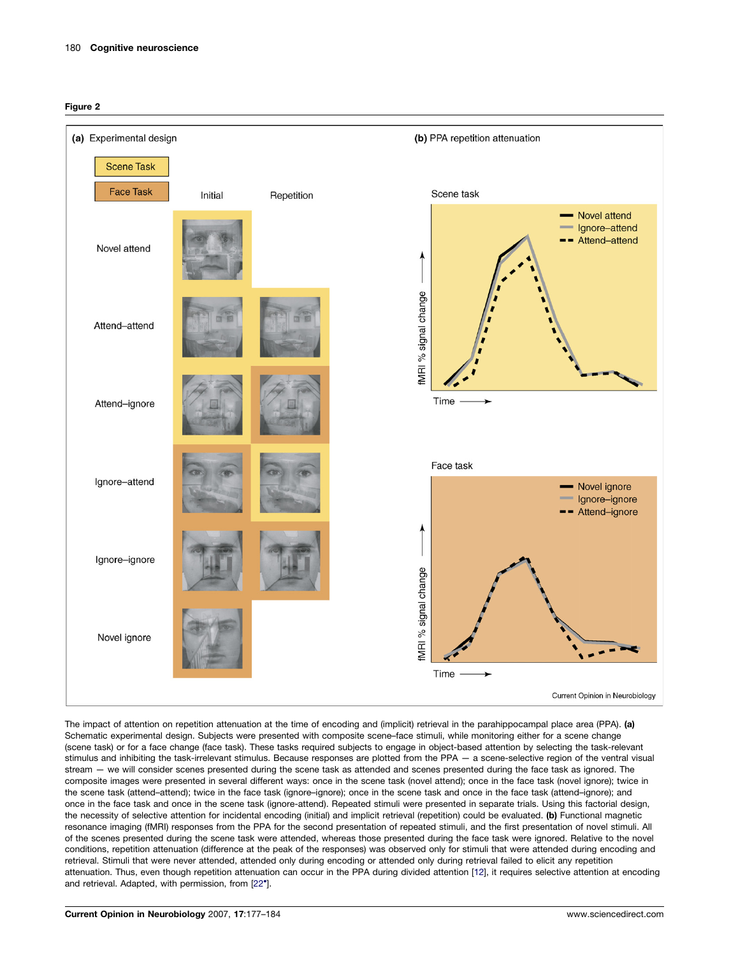#### <span id="page-3-0"></span>Figure 2



The impact of attention on repetition attenuation at the time of encoding and (implicit) retrieval in the parahippocampal place area (PPA). (a) Schematic experimental design. Subjects were presented with composite scene–face stimuli, while monitoring either for a scene change (scene task) or for a face change (face task). These tasks required subjects to engage in object-based attention by selecting the task-relevant stimulus and inhibiting the task-irrelevant stimulus. Because responses are plotted from the PPA — a scene-selective region of the ventral visual stream — we will consider scenes presented during the scene task as attended and scenes presented during the face task as ignored. The composite images were presented in several different ways: once in the scene task (novel attend); once in the face task (novel ignore); twice in the scene task (attend–attend); twice in the face task (ignore–ignore); once in the scene task and once in the face task (attend–ignore); and once in the face task and once in the scene task (ignore-attend). Repeated stimuli were presented in separate trials. Using this factorial design, the necessity of selective attention for incidental encoding (initial) and implicit retrieval (repetition) could be evaluated. (b) Functional magnetic resonance imaging (fMRI) responses from the PPA for the second presentation of repeated stimuli, and the first presentation of novel stimuli. All of the scenes presented during the scene task were attended, whereas those presented during the face task were ignored. Relative to the novel conditions, repetition attenuation (difference at the peak of the responses) was observed only for stimuli that were attended during encoding and retrieval. Stimuli that were never attended, attended only during encoding or attended only during retrieval failed to elicit any repetition attenuation. Thus, even though repetition attenuation can occur in the PPA during divided attention [[12\]](#page-5-0), it requires selective attention at encoding and retrieval. Adapted, with permission, from [\[22](#page-6-0)<sup>\*</sup>].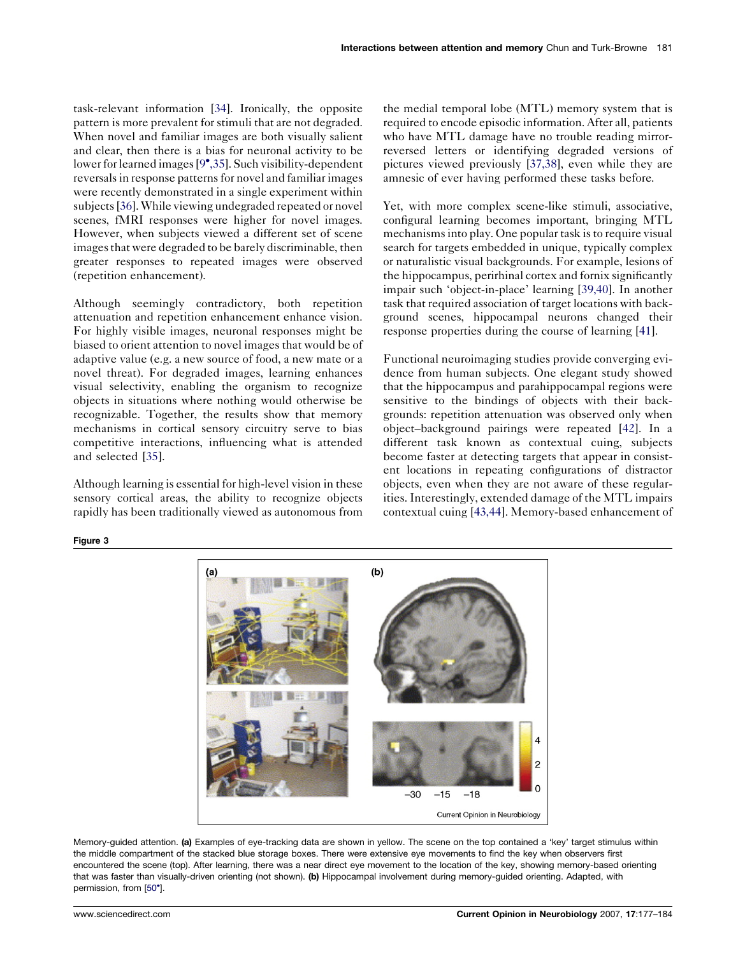<span id="page-4-0"></span>task-relevant information [\[34\]](#page-6-0). Ironically, the opposite pattern is more prevalent for stimuli that are not degraded. When novel and familiar images are both visually salient and clear, then there is a bias for neuronal activity to be lower for learned images [[9](#page-5-0)\*[,35\]](#page-5-0). Such visibility-dependent reversals in response patterns for novel and familiar images were recently demonstrated in a single experiment within subjects [[36\]](#page-6-0). While viewing undegraded repeated or novel scenes, fMRI responses were higher for novel images. However, when subjects viewed a different set of scene images that were degraded to be barely discriminable, then greater responses to repeated images were observed (repetition enhancement).

Although seemingly contradictory, both repetition attenuation and repetition enhancement enhance vision. For highly visible images, neuronal responses might be biased to orient attention to novel images that would be of adaptive value (e.g. a new source of food, a new mate or a novel threat). For degraded images, learning enhances visual selectivity, enabling the organism to recognize objects in situations where nothing would otherwise be recognizable. Together, the results show that memory mechanisms in cortical sensory circuitry serve to bias competitive interactions, influencing what is attended and selected [\[35](#page-6-0)].

Although learning is essential for high-level vision in these sensory cortical areas, the ability to recognize objects rapidly has been traditionally viewed as autonomous from

the medial temporal lobe (MTL) memory system that is required to encode episodic information. After all, patients who have MTL damage have no trouble reading mirrorreversed letters or identifying degraded versions of pictures viewed previously [\[37,38](#page-6-0)], even while they are amnesic of ever having performed these tasks before.

Yet, with more complex scene-like stimuli, associative, configural learning becomes important, bringing MTL mechanisms into play. One popular task is to require visual search for targets embedded in unique, typically complex or naturalistic visual backgrounds. For example, lesions of the hippocampus, perirhinal cortex and fornix significantly impair such 'object-in-place' learning [[39,40\]](#page-6-0). In another task that required association of target locations with background scenes, hippocampal neurons changed their response properties during the course of learning [[41\]](#page-6-0).

Functional neuroimaging studies provide converging evidence from human subjects. One elegant study showed that the hippocampus and parahippocampal regions were sensitive to the bindings of objects with their backgrounds: repetition attenuation was observed only when object–background pairings were repeated [[42\]](#page-6-0). In a different task known as contextual cuing, subjects become faster at detecting targets that appear in consistent locations in repeating configurations of distractor objects, even when they are not aware of these regularities. Interestingly, extended damage of the MTL impairs contextual cuing [[43,44](#page-6-0)]. Memory-based enhancement of



Memory-guided attention. (a) Examples of eye-tracking data are shown in yellow. The scene on the top contained a 'key' target stimulus within the middle compartment of the stacked blue storage boxes. There were extensive eye movements to find the key when observers first encountered the scene (top). After learning, there was a near direct eye movement to the location of the key, showing memory-based orienting that was faster than visually-driven orienting (not shown). (b) Hippocampal involvement during memory-guided orienting. Adapted, with permission, from [[50](#page-7-0)°].

Figure 3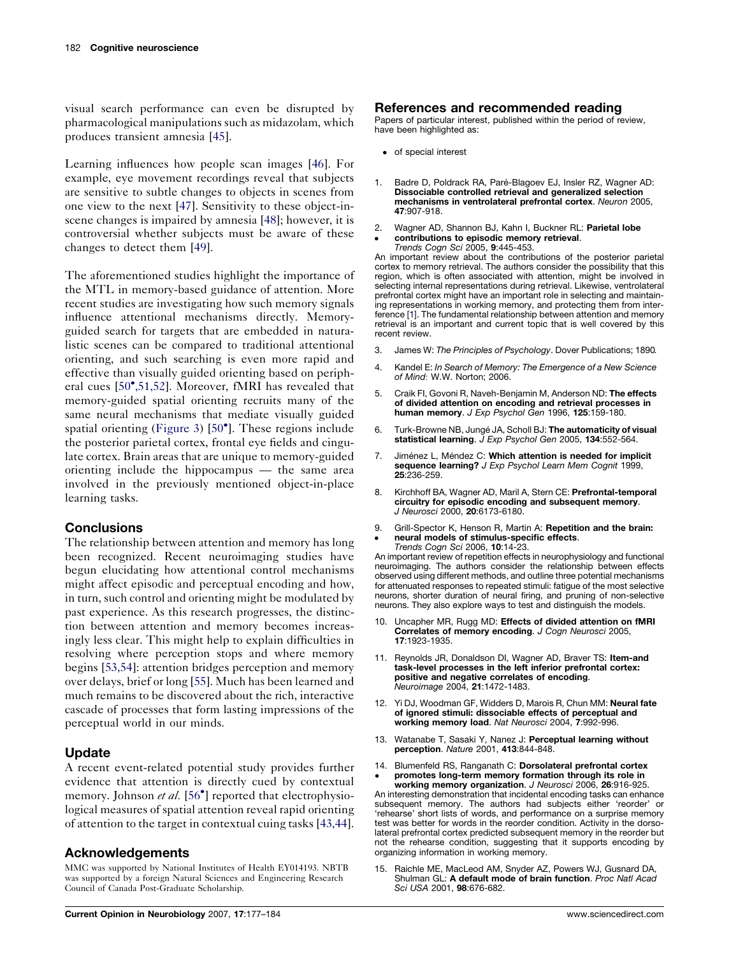<span id="page-5-0"></span>visual search performance can even be disrupted by pharmacological manipulations such as midazolam, which produces transient amnesia [[45\]](#page-6-0).

Learning influences how people scan images [[46](#page-7-0)]. For example, eye movement recordings reveal that subjects are sensitive to subtle changes to objects in scenes from one view to the next [\[47\]](#page-7-0). Sensitivity to these object-inscene changes is impaired by amnesia [\[48](#page-7-0)]; however, it is controversial whether subjects must be aware of these changes to detect them [\[49](#page-7-0)].

The aforementioned studies highlight the importance of the MTL in memory-based guidance of attention. More recent studies are investigating how such memory signals influence attentional mechanisms directly. Memoryguided search for targets that are embedded in naturalistic scenes can be compared to traditional attentional orienting, and such searching is even more rapid and effective than visually guided orienting based on periph-eral cues [\[50](#page-7-0)°[,51,52](#page-7-0)]. Moreover, fMRI has revealed that memory-guided spatial orienting recruits many of the same neural mechanisms that mediate visually guided spatial orienting [\(Figure 3\)](#page-4-0) [[50](#page-7-0)°]. These regions include the posterior parietal cortex, frontal eye fields and cingulate cortex. Brain areas that are unique to memory-guided orienting include the hippocampus — the same area involved in the previously mentioned object-in-place learning tasks.

## **Conclusions**

The relationship between attention and memory has long been recognized. Recent neuroimaging studies have begun elucidating how attentional control mechanisms might affect episodic and perceptual encoding and how, in turn, such control and orienting might be modulated by past experience. As this research progresses, the distinction between attention and memory becomes increasingly less clear. This might help to explain difficulties in resolving where perception stops and where memory begins [\[53,54\]](#page-7-0): attention bridges perception and memory over delays, brief or long [\[55](#page-7-0)]. Much has been learned and much remains to be discovered about the rich, interactive cascade of processes that form lasting impressions of the perceptual world in our minds.

## Update

A recent event-related potential study provides further evidence that attention is directly cued by contextual memory. Johnson et al. [\[56](#page-7-0)<sup>°</sup>] reported that electrophysiological measures of spatial attention reveal rapid orienting of attention to the target in contextual cuing tasks [[43,44](#page-6-0)].

#### Acknowledgements

MMC was supported by National Institutes of Health EY014193. NBTB was supported by a foreign Natural Sciences and Engineering Research Council of Canada Post-Graduate Scholarship.

## References and recommended reading

Papers of particular interest, published within the period of review, have been highlighted as:

- of special interest
- 1. Badre D, Poldrack RA, Paré-Blagoev EJ, Insler RZ, Wagner AD: Dissociable controlled retrieval and generalized selection mechanisms in ventrolateral prefrontal cortex. Neuron 2005, 47:907-918.
- 2. -Wagner AD, Shannon BJ, Kahn I, Buckner RL: Parietal lobe contributions to episodic memory retrieval.
- Trends Cogn Sci 2005, 9:445-453. An important review about the contributions of the posterior parietal cortex to memory retrieval. The authors consider the possibility that this region, which is often associated with attention, might be involved in selecting internal representations during retrieval. Likewise, ventrolateral prefrontal cortex might have an important role in selecting and maintaining representations in working memory, and protecting them from interference [1]. The fundamental relationship between attention and memory retrieval is an important and current topic that is well covered by this recent review.
- 3. James W: The Principles of Psychology. Dover Publications; 1890.
- 4. Kandel E: In Search of Memory: The Emergence of a New Science of Mind: W.W. Norton; 2006.
- 5. Craik FI, Govoni R, Naveh-Benjamin M, Anderson ND: The effects of divided attention on encoding and retrieval processes in human memory. J Exp Psychol Gen 1996, 125:159-180.
- 6. Turk-Browne NB, Jungé JA, Scholl BJ: The automaticity of visual statistical learning. J Exp Psychol Gen 2005, 134:552-564.
- 7. Jiménez L, Méndez C: Which attention is needed for implicit sequence learning? J Exp Psychol Learn Mem Cognit 1999, 25:236-259.
- 8. Kirchhoff BA, Wagner AD, Maril A, Stern CE: Prefrontal-temporal circuitry for episodic encoding and subsequent memory. J Neurosci 2000, 20:6173-6180.
- 9. -Grill-Spector K, Henson R, Martin A: Repetition and the brain: neural models of stimulus-specific effects.

Trends Cogn Sci 2006, 10:14-23. An important review of repetition effects in neurophysiology and functional neuroimaging. The authors consider the relationship between effects observed using different methods, and outline three potential mechanisms for attenuated responses to repeated stimuli: fatigue of the most selective neurons, shorter duration of neural firing, and pruning of non-selective neurons. They also explore ways to test and distinguish the models.

- 10. Uncapher MR, Rugg MD: Effects of divided attention on fMRI Correlates of memory encoding. J Cogn Neurosci 2005, 17:1923-1935.
- 11. Reynolds JR, Donaldson DI, Wagner AD, Braver TS: Item-and task-level processes in the left inferior prefrontal cortex: positive and negative correlates of encoding. Neuroimage 2004, 21:1472-1483.
- 12. Yi DJ, Woodman GF, Widders D, Marois R, Chun MM: Neural fate of ignored stimuli: dissociable effects of perceptual and working memory load. Nat Neurosci 2004, 7:992-996.
- 13. Watanabe T, Sasaki Y, Nanez J: Perceptual learning without perception. Nature 2001, 413:844-848.
- 14. Blumenfeld RS, Ranganath C: Dorsolateral prefrontal cortex promotes long-term memory formation through its role in

working memory organization. J Neurosci 2006, 26:916-925. An interesting demonstration that incidental encoding tasks can enhance subsequent memory. The authors had subjects either 'reorder' or 'rehearse' short lists of words, and performance on a surprise memory test was better for words in the reorder condition. Activity in the dorsolateral prefrontal cortex predicted subsequent memory in the reorder but not the rehearse condition, suggesting that it supports encoding by organizing information in working memory.

15. Raichle ME, MacLeod AM, Snyder AZ, Powers WJ, Gusnard DA, Shulman GL: A default mode of brain function. Proc Natl Acad Sci USA 2001, 98:676-682.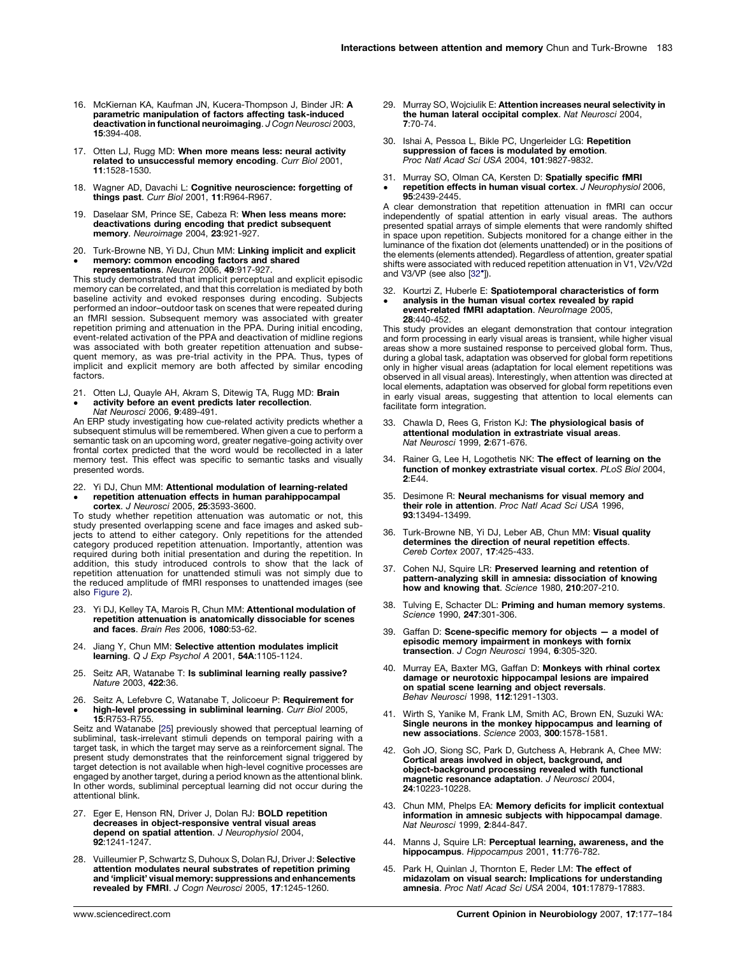- <span id="page-6-0"></span>16. McKiernan KA, Kaufman JN, Kucera-Thompson J, Binder JR: A parametric manipulation of factors affecting task-induced deactivation in functional neuroimaging. J Cogn Neurosci 2003, 15:394-408.
- 17. Otten LJ, Rugg MD: When more means less: neural activity related to unsuccessful memory encoding. Curr Biol 2001, 11:1528-1530.
- 18. Wagner AD, Davachi L: Cognitive neuroscience: forgetting of things past. Curr Biol 2001, 11:R964-R967.
- 19. Daselaar SM, Prince SE, Cabeza R: When less means more: deactivations during encoding that predict subsequent memory. Neuroimage 2004, 23:921-927.
- 20. Turk-Browne NB, Yi DJ, Chun MM: Linking implicit and explicit  $\bullet$ memory: common encoding factors and shared

representations. Neuron 2006, 49:917-927. This study demonstrated that implicit perceptual and explicit episodic memory can be correlated, and that this correlation is mediated by both baseline activity and evoked responses during encoding. Subjects performed an indoor–outdoor task on scenes that were repeated during an fMRI session. Subsequent memory was associated with greater repetition priming and attenuation in the PPA. During initial encoding, event-related activation of the PPA and deactivation of midline regions was associated with both greater repetition attenuation and subsequent memory, as was pre-trial activity in the PPA. Thus, types of implicit and explicit memory are both affected by similar encoding factors.

21. Otten LJ, Quayle AH, Akram S, Ditewig TA, Rugg MD: **Brain**  $\bullet$ activity before an event predicts later recollection. Nat Neurosci 2006, 9:489-491.

An ERP study investigating how cue-related activity predicts whether a subsequent stimulus will be remembered. When given a cue to perform a semantic task on an upcoming word, greater negative-going activity over frontal cortex predicted that the word would be recollected in a later memory test. This effect was specific to semantic tasks and visually presented words.

22. Yi DJ, Chun MM: Attentional modulation of learning-related  $\bullet$ repetition attenuation effects in human parahippocampal cortex. J Neurosci 2005, 25:3593-3600.

To study whether repetition attenuation was automatic or not, this study presented overlapping scene and face images and asked subjects to attend to either category. Only repetitions for the attended category produced repetition attenuation. Importantly, attention was required during both initial presentation and during the repetition. In addition, this study introduced controls to show that the lack of repetition attenuation for unattended stimuli was not simply due to the reduced amplitude of fMRI responses to unattended images (see also [Figure 2](#page-3-0)).

- 23. Yi DJ, Kelley TA, Marois R, Chun MM: Attentional modulation of repetition attenuation is anatomically dissociable for scenes and faces. Brain Res 2006, 1080:53-62.
- 24. Jiang Y, Chun MM: Selective attention modulates implicit learning. Q J Exp Psychol A 2001, 54A:1105-1124.
- 25. Seitz AR, Watanabe T: Is subliminal learning really passive? Nature 2003, 422:36.
- 26.  $\bullet$ Seitz A, Lefebvre C, Watanabe T, Jolicoeur P: Requirement for high-level processing in subliminal learning. Curr Biol 2005, 15:R753-R755.

Seitz and Watanabe [25] previously showed that perceptual learning of subliminal, task-irrelevant stimuli depends on temporal pairing with a target task, in which the target may serve as a reinforcement signal. The present study demonstrates that the reinforcement signal triggered by target detection is not available when high-level cognitive processes are engaged by another target, during a period known as the attentional blink. In other words, subliminal perceptual learning did not occur during the attentional blink.

- 27. Eger E, Henson RN, Driver J, Dolan RJ: BOLD repetition decreases in object-responsive ventral visual areas depend on spatial attention. J Neurophysiol 2004, 92:1241-1247.
- 28. Vuilleumier P, Schwartz S, Duhoux S, Dolan RJ, Driver J: Selective attention modulates neural substrates of repetition priming and 'implicit' visual memory: suppressions and enhancements revealed by FMRI. J Cogn Neurosci 2005, 17:1245-1260.
- 29. Murray SO, Wojciulik E: Attention increases neural selectivity in the human lateral occipital complex. Nat Neurosci 2004, 7:70-74.
- 30. Ishai A, Pessoa L, Bikle PC, Ungerleider LG: Repetition suppression of faces is modulated by emotion. Proc Natl Acad Sci USA 2004, 101:9827-9832.
- 31. Murray SO, Olman CA, Kersten D: Spatially specific fMRI repetition effects in human visual cortex. J Neurophysiol 2006, 95:2439-2445.

A clear demonstration that repetition attenuation in fMRI can occur independently of spatial attention in early visual areas. The authors presented spatial arrays of simple elements that were randomly shifted in space upon repetition. Subjects monitored for a change either in the luminance of the fixation dot (elements unattended) or in the positions of the elements (elements attended). Regardless of attention, greater spatial shifts were associated with reduced repetition attenuation in V1, V2v/V2d and V3/VP (see also [32\*]).

32. Kourtzi Z, Huberle E: Spatiotemporal characteristics of form analysis in the human visual cortex revealed by rapid event-related fMRI adaptation. NeuroImage 2005, 28:440-452.

This study provides an elegant demonstration that contour integration and form processing in early visual areas is transient, while higher visual areas show a more sustained response to perceived global form. Thus, during a global task, adaptation was observed for global form repetitions only in higher visual areas (adaptation for local element repetitions was observed in all visual areas). Interestingly, when attention was directed at local elements, adaptation was observed for global form repetitions even in early visual areas, suggesting that attention to local elements can facilitate form integration.

- 33. Chawla D, Rees G, Friston KJ: The physiological basis of attentional modulation in extrastriate visual areas. Nat Neurosci 1999, 2:671-676.
- 34. Rainer G, Lee H, Logothetis NK: The effect of learning on the function of monkey extrastriate visual cortex. PLoS Biol 2004, 2:E44.
- 35. Desimone R: Neural mechanisms for visual memory and their role in attention. Proc Natl Acad Sci USA 1996, 93:13494-13499.
- 36. Turk-Browne NB, Yi DJ, Leber AB, Chun MM: Visual quality determines the direction of neural repetition effects. Cereb Cortex 2007, 17:425-433.
- 37. Cohen NJ, Squire LR: Preserved learning and retention of pattern-analyzing skill in amnesia: dissociation of knowing how and knowing that. Science 1980, 210:207-210.
- 38. Tulving E, Schacter DL: Priming and human memory systems. Science 1990, 247:301-306.
- 39. Gaffan D: Scene-specific memory for objects a model of episodic memory impairment in monkeys with fornix transection. J Cogn Neurosci 1994, 6:305-320.
- 40. Murray EA, Baxter MG, Gaffan D: Monkeys with rhinal cortex damage or neurotoxic hippocampal lesions are impaired on spatial scene learning and object reversals. Behav Neurosci 1998, 112:1291-1303.
- 41. Wirth S, Yanike M, Frank LM, Smith AC, Brown EN, Suzuki WA: Single neurons in the monkey hippocampus and learning of new associations. Science 2003, 300:1578-1581.
- Goh JO, Siong SC, Park D, Gutchess A, Hebrank A, Chee MW: Cortical areas involved in object, background, and object-background processing revealed with functional magnetic resonance adaptation. J Neurosci 2004, 24:10223-10228.
- 43. Chun MM, Phelps EA: Memory deficits for implicit contextual information in amnesic subjects with hippocampal damage. Nat Neurosci 1999, 2:844-847.
- 44. Manns J, Squire LR: Perceptual learning, awareness, and the hippocampus. Hippocampus 2001, 11:776-782.
- 45. Park H, Quinlan J, Thornton E, Reder LM: The effect of midazolam on visual search: Implications for understanding amnesia. Proc Natl Acad Sci USA 2004, 101:17879-17883.